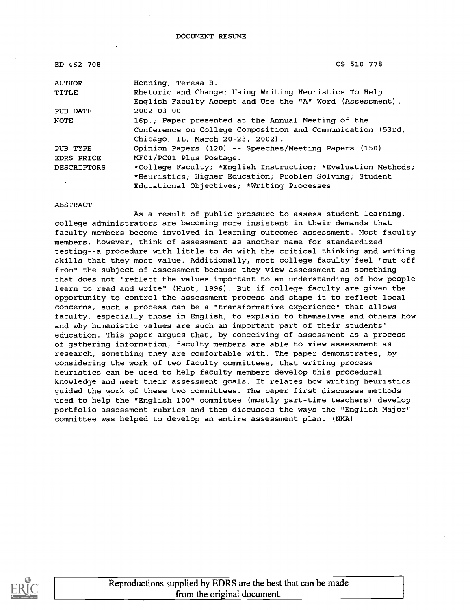DOCUMENT RESUME

| ED 462 708         | CS 510 778                                                   |
|--------------------|--------------------------------------------------------------|
| <b>AUTHOR</b>      | Henning, Teresa B.                                           |
| TITLE              | Rhetoric and Change: Using Writing Heuristics To Help        |
|                    | English Faculty Accept and Use the "A" Word (Assessment).    |
| PUB DATE           | $2002 - 03 - 00$                                             |
| <b>NOTE</b>        | 16p.; Paper presented at the Annual Meeting of the           |
|                    | Conference on College Composition and Communication (53rd,   |
|                    | Chicago, IL, March 20-23, 2002).                             |
| PUB TYPE           | Opinion Papers (120) -- Speeches/Meeting Papers (150)        |
| EDRS PRICE         | MF01/PC01 Plus Postage.                                      |
| <b>DESCRIPTORS</b> | *College Faculty; *English Instruction; *Evaluation Methods; |
|                    | *Heuristics; Higher Education; Problem Solving; Student      |
|                    | Educational Objectives; *Writing Processes                   |

#### ABSTRACT

As a result of public pressure to assess student learning, college administrators are becoming more insistent in their demands that faculty members become involved in learning outcomes assessment. Most faculty members, however, think of assessment as another name for standardized testing--a procedure with little to do with the critical thinking and writing skills that they most value. Additionally, most college faculty feel "cut off from" the subject of assessment because they view assessment as something that does not "reflect the values important to an understanding of how people learn to read and write" (Huot, 1996). But if college faculty are given the opportunity to control the assessment process and shape it to reflect local concerns, such a process can be a "transformative experience" that allows faculty, especially those in English, to explain to themselves and others how and why humanistic values are such an important part of their students' education. This paper argues that, by conceiving of assessment as a process of gathering information, faculty members are able to view assessment as research, something they are comfortable with. The paper demonstrates, by considering the work of two faculty committees, that writing process heuristics can be used to help faculty members develop this procedural knowledge and meet their assessment goals. It relates how writing heuristics guided the work of these two committees. The paper first discusses methods used to help the "English 100" committee (mostly part-time teachers) develop portfolio assessment rubrics and then discusses the ways the "English Major" committee was helped to develop an entire assessment plan. (NKA)

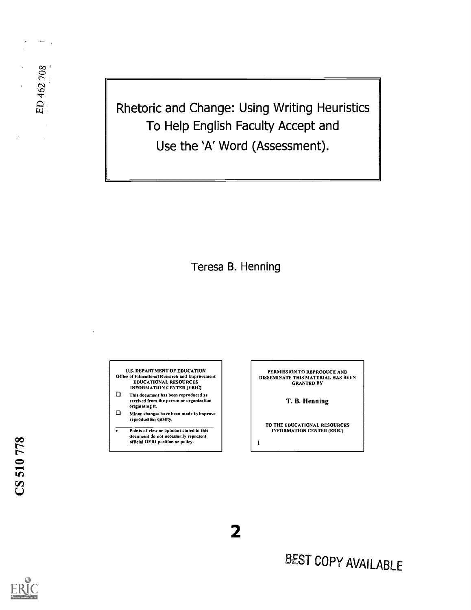Rhetoric and Change: Using Writing Heuristics To Help English Faculty Accept and Use the 'A' Word (Assessment).

Teresa B. Henning

U.S. DEPARTMENT OF EDUCATION Office of Educational Research and Improvement EDUCATIONAL RESOURCES INFORMATION CENTER (ERIC)

- 0 This document has been reproduced as received from the person or organization originating it.
- 0 Minor changes have been made to Improve reproduction quality.

Points of view or opinions stated in this document do not necessarily represent official OERI position or policy.

÷

PERMISSION TO REPRODUCE AND DISSEMINATE THIS MATERIAL HAS BEEN GRANTED BY

T. B. Henning

TO THE EDUCATIONAL RESOURCES INFORMATION CENTER (ERIC)

1

2

 $\sim$   $-$ 

ED 462 708



BEST COPY AVAILABLE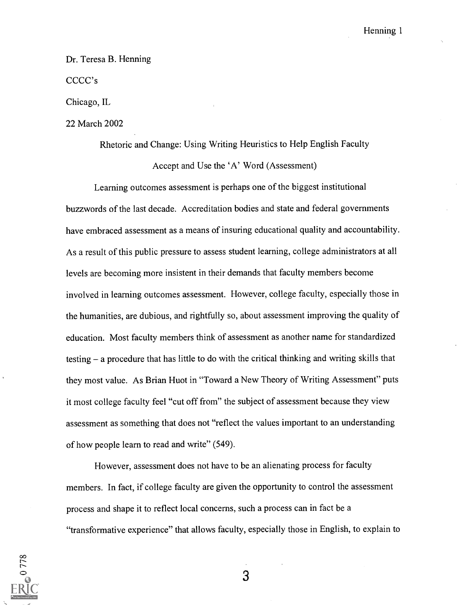#### Dr. Teresa B. Henning

CCCC's

Chicago, IL

22 March 2002

Rhetoric and Change: Using Writing Heuristics to Help English Faculty Accept and Use the 'A' Word (Assessment)

Learning outcomes assessment is perhaps one of the biggest institutional buzzwords of the last decade. Accreditation bodies and state and federal governments have embraced assessment as a means of insuring educational quality and accountability. As a result of this public pressure to assess student learning, college administrators at all levels are becoming more insistent in their demands that faculty members become involved in learning outcomes assessment. However, college faculty, especially those in the humanities, are dubious, and rightfully so, about assessment improving the quality of education. Most faculty members think of assessment as another name for standardized testing – a procedure that has little to do with the critical thinking and writing skills that they most value. As Brian Huot in "Toward a New Theory of Writing Assessment" puts it most college faculty feel "cut off from" the subject of assessment because they view assessment as something that does not "reflect the values important to an understanding of how people learn to read and write" (549).

However, assessment does not have to be an alienating process for faculty members. In fact, if college faculty are given the opportunity to control the assessment process and shape it to reflect local concerns, such a process can in fact be a "transformative experience" that allows faculty, especially those in English, to explain to

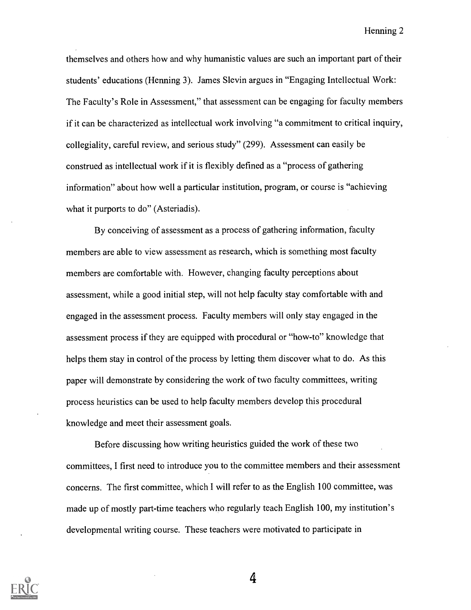themselves and others how and why humanistic values are such an important part of their students' educations (Henning 3). James Slevin argues in "Engaging Intellectual Work: The Faculty's Role in Assessment," that assessment can be engaging for faculty members if it can be characterized as intellectual work involving "a commitment to critical inquiry, collegiality, careful review, and serious study" (299). Assessment can easily be construed as intellectual work if it is flexibly defined as a "process of gathering information" about how well a particular institution, program, or course is "achieving what it purports to do" (Asteriadis).

By conceiving of assessment as a process of gathering information, faculty members are able to view assessment as research, which is something most faculty members are comfortable with. However, changing faculty perceptions about assessment, while a good initial step, will not help faculty stay comfortable with and engaged in the assessment process. Faculty members will only stay engaged in the assessment process if they are equipped with procedural or "how-to" knowledge that helps them stay in control of the process by letting them discover what to do. As this paper will demonstrate by considering the work of two faculty committees, writing process heuristics can be used to help faculty members develop this procedural knowledge and meet their assessment goals.

Before discussing how writing heuristics guided the work of these two committees, I first need to introduce you to the committee members and their assessment concerns. The first committee, which I will refer to as the English 100 committee, was made up of mostly part-time teachers who regularly teach English 100, my institution's developmental writing course. These teachers were motivated to participate in

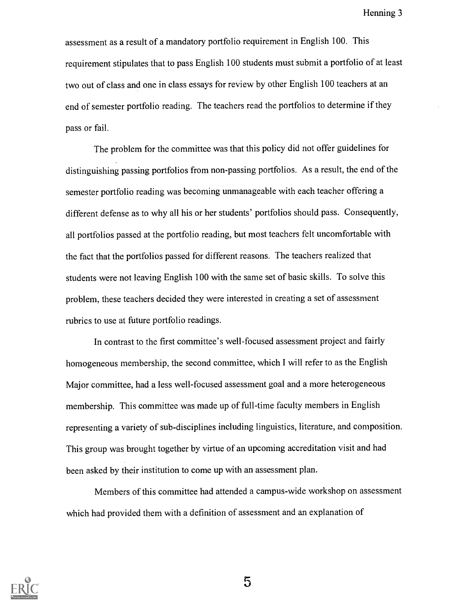assessment as a result of a mandatory portfolio requirement in English 100. This requirement stipulates that to pass English 100 students must submit a portfolio of at least two out of class and one in class essays for review by other English 100 teachers at an end of semester portfolio reading. The teachers read the portfolios to determine if they pass or fail.

The problem for the committee was that this policy did not offer guidelines for distinguishing passing portfolios from non-passing portfolios. As a result, the end of the semester portfolio reading was becoming unmanageable with each teacher offering a different defense as to why all his or her students' portfolios should pass. Consequently, all portfolios passed at the portfolio reading, but most teachers felt uncomfortable with the fact that the portfolios passed for different reasons. The teachers realized that students were not leaving English 100 with the same set of basic skills. To solve this problem, these teachers decided they were interested in creating a set of assessment rubrics to use at future portfolio readings.

In contrast to the first committee's well-focused assessment project and fairly homogeneous membership, the second committee, which I will refer to as the English Major committee, had a less well-focused assessment goal and a more heterogeneous membership. This committee was made up of full-time faculty members in English representing a variety of sub-disciplines including linguistics, literature, and composition. This group was brought together by virtue of an upcoming accreditation visit and had been asked by their institution to come up with an assessment plan.

Members of this committee had attended a campus-wide workshop on assessment which had provided them with a definition of assessment and an explanation of

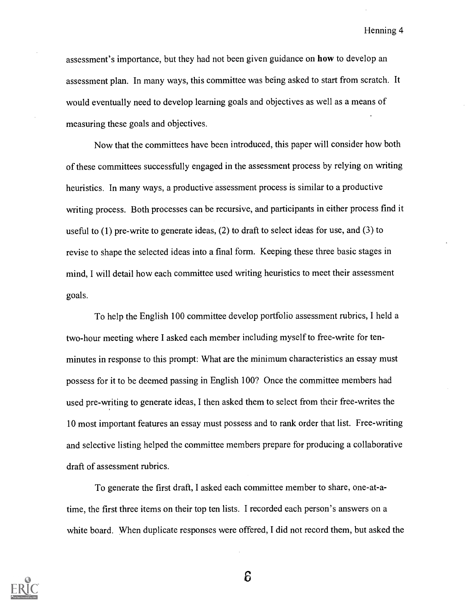assessment's importance, but they had not been given guidance on how to develop an assessment plan. In many ways, this committee was being asked to start from scratch. It would eventually need to develop learning goals and objectives as well as a means of measuring these goals and objectives.

Now that the committees have been introduced, this paper will consider how both of these committees successfully engaged in the assessment process by relying on writing heuristics. In many ways, a productive assessment process is similar to a productive writing process. Both processes can be recursive, and participants in either process find it useful to (1) pre-write to generate ideas, (2) to draft to select ideas for use, and (3) to revise to shape the selected ideas into a final form. Keeping these three basic stages in mind, I will detail how each committee used writing heuristics to meet their assessment goals.

To help the English 100 committee develop portfolio assessment rubrics, I held a two-hour meeting where I asked each member including myself to free-write for tenminutes in response to this prompt: What are the minimum characteristics an essay must possess for it to be deemed passing in English 100? Once the committee members had used pre-writing to generate ideas, I then asked them to select from their free-writes the 10 most important features an essay must possess and to rank order that list. Free-writing and selective listing helped the committee members prepare for producing a collaborative draft of assessment rubrics.

To generate the first draft, I asked each committee member to share, one-at-atime, the first three items on their top ten lists. I recorded each person's answers on a white board. When duplicate responses were offered, I did not record them, but asked the

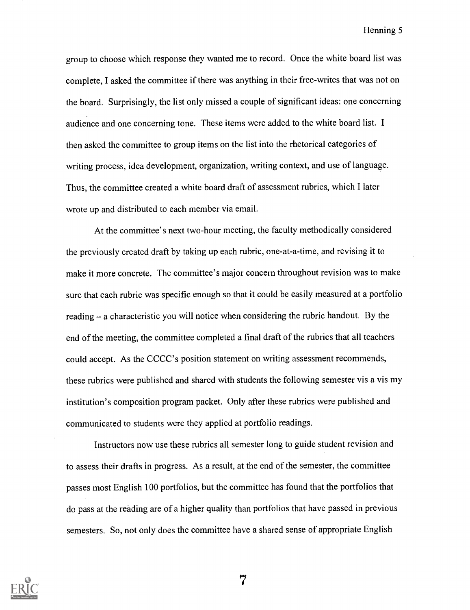group to choose which response they wanted me to record. Once the white board list was complete, I asked the committee if there was anything in their free-writes that was not on the board. Surprisingly, the list only missed a couple of significant ideas: one concerning audience and one concerning tone. These items were added to the white board list. I then asked the committee to group items on the list into the rhetorical categories of writing process, idea development, organization, writing context, and use of language. Thus, the committee created a white board draft of assessment rubrics, which I later wrote up and distributed to each member via email.

At the committee's next two-hour meeting, the faculty methodically considered the previously created draft by taking up each rubric, one-at-a-time, and revising it to make it more concrete. The committee's major concern throughout revision was to make sure that each rubric was specific enough so that it could be easily measured at a portfolio reading  $-$  a characteristic you will notice when considering the rubric handout. By the end of the meeting, the committee completed a final draft of the rubrics that all teachers could accept. As the CCCC's position statement on writing assessment recommends, these rubrics were published and shared with students the following semester vis a vis my institution's composition program packet. Only after these rubrics were published and communicated to students were they applied at portfolio readings.

Instructors now use these rubrics all semester long to guide student revision and to assess their drafts in progress. As a result, at the end of the semester, the committee passes most English 100 portfolios, but the committee has found that the portfolios that do pass at the reading are of a higher quality than portfolios that have passed in previous semesters. So, not only does the committee have a shared sense of appropriate English

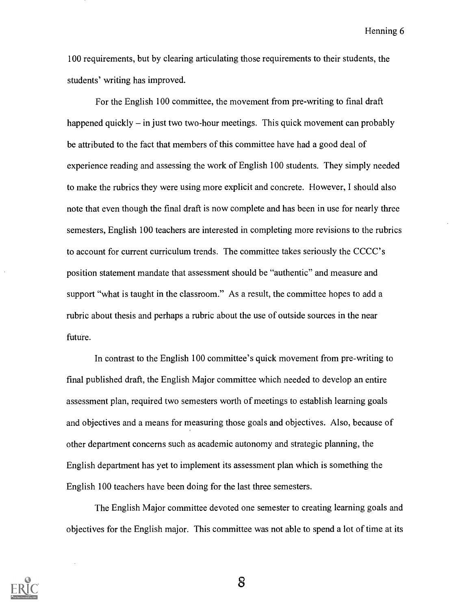100 requirements, but by clearing articulating those requirements to their students, the students' writing has improved.

For the English 100 committee, the movement from pre-writing to final draft happened quickly  $-$  in just two two-hour meetings. This quick movement can probably be attributed to the fact that members of this committee have had a good deal of experience reading and assessing the work of English 100 students. They simply needed to make the rubrics they were using more explicit and concrete. However, I should also note that even though the final draft is now complete and has been in use for nearly three semesters, English 100 teachers are interested in completing more revisions to the rubrics to account for current curriculum trends. The committee takes seriously the CCCC's position statement mandate that assessment should be "authentic" and measure and support "what is taught in the classroom." As a result, the committee hopes to add a rubric about thesis and perhaps a rubric about the use of outside sources in the near future.

In contrast to the English 100 committee's quick movement from pre-writing to final published draft, the English Major committee which needed to develop an entire assessment plan, required two semesters worth of meetings to establish learning goals and objectives and a means for measuring those goals and objectives. Also, because of other department concerns such as academic autonomy and strategic planning, the English department has yet to implement its assessment plan which is something the English 100 teachers have been doing for the last three semesters.

The English Major committee devoted one semester to creating learning goals and objectives for the English major. This committee was not able to spend a lot of time at its

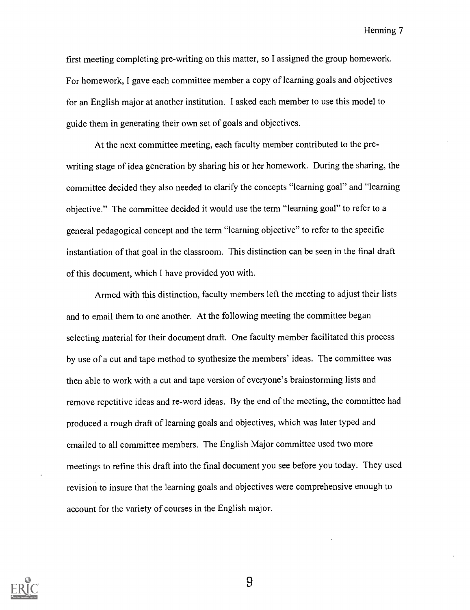first meeting completing pre-writing on this matter, so I assigned the group homework. For homework, I gave each committee member a copy of learning goals and objectives for an English major at another institution. I asked each member to use this model to guide them in generating their own set of goals and objectives.

At the next committee meeting, each faculty member contributed to the prewriting stage of idea generation by sharing his or her homework. During the sharing, the committee decided they also needed to clarify the concepts "learning goal" and "learning objective." The committee decided it would use the term "learning goal" to refer to a general pedagogical concept and the term "learning objective" to refer to the specific instantiation of that goal in the classroom. This distinction can be seen in the final draft of this document, which I have provided you with.

Armed with this distinction, faculty members left the meeting to adjust their lists and to email them to one another. At the following meeting the committee began selecting material for their document draft. One faculty member facilitated this process by use of a cut and tape method to synthesize the members' ideas. The committee was then able to work with a cut and tape version of everyone's brainstorming lists and remove repetitive ideas and re-word ideas. By the end of the meeting, the committee had produced a rough draft of learning goals and objectives, which was later typed and emailed to all committee members. The English Major committee used two more meetings to refine this draft into the final document you see before you today. They used revision to insure that the learning goals and objectives were comprehensive enough to account for the variety of courses in the English major.

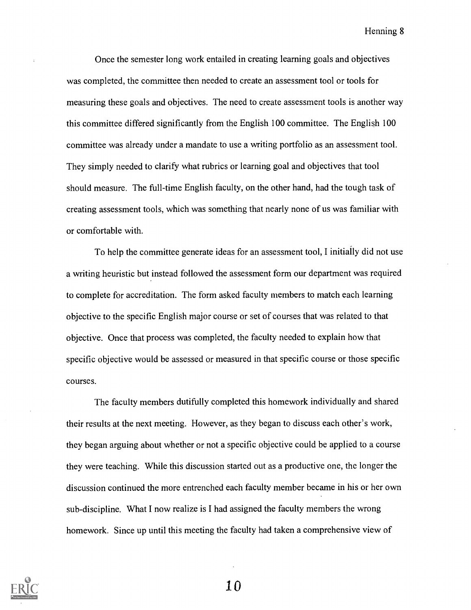Once the semester long work entailed in creating learning goals and objectives was completed, the committee then needed to create an assessment tool or tools for measuring these goals and objectives. The need to create assessment tools is another way this committee differed significantly from the English 100 committee. The English 100 committee was already under a mandate to use a writing portfolio as an assessment tool. They simply needed to clarify what rubrics or learning goal and objectives that tool should measure. The full-time English faculty, on the other hand, had the tough task of creating assessment tools, which was something that nearly none of us was familiar with or comfortable with.

To help the committee generate ideas for an assessment tool, I initially did not use a writing heuristic but instead followed the assessment form our department was required to complete for accreditation. The form asked faculty members to match each learning objective to the specific English major course or set of courses that was related to that objective. Once that process was completed, the faculty needed to explain how that specific objective would be assessed or measured in that specific course or those specific courses.

The faculty members dutifully completed this homework individually and shared their results at the next meeting. However, as they began to discuss each other's work, they began arguing about whether or not a specific objective could be applied to a course they were teaching. While this discussion started out as a productive one, the longer the discussion continued the more entrenched each faculty member became in his or her own sub-discipline. What I now realize is I had assigned the faculty members the wrong homework. Since up until this meeting the faculty had taken a comprehensive view of



1 Q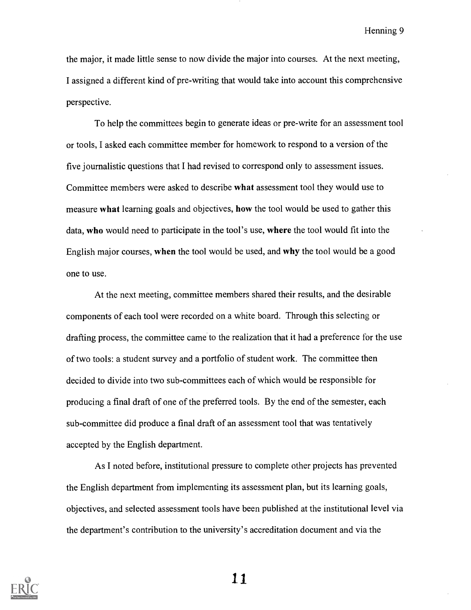the major, it made little sense to now divide the major into courses. At the next meeting, I assigned a different kind of pre-writing that would take into account this comprehensive perspective.

To help the committees begin to generate ideas or pre-write for an assessment tool or tools, I asked each committee member for homework to respond to a version of the five journalistic questions that I had revised to correspond only to assessment issues. Committee members were asked to describe what assessment tool they would use to measure what learning goals and objectives, how the tool would be used to gather this data, who would need to participate in the tool's use, where the tool would fit into the English major courses, when the tool would be used, and why the tool would be a good one to use.

At the next meeting, committee members shared their results, and the desirable components of each tool were recorded on a white board. Through this selecting or drafting process, the committee came to the realization that it had a preference for the use of two tools: a student survey and a portfolio of student work. The committee then decided to divide into two sub-committees each of which would be responsible for producing a final draft of one of the preferred tools. By the end of the semester, each sub-committee did produce a final draft of an assessment tool that was tentatively accepted by the English department.

As I noted before, institutional pressure to complete other projects has prevented the English department from implementing its assessment plan, but its learning goals, objectives, and selected assessment tools have been published at the institutional level via the department's contribution to the university's accreditation document and via the

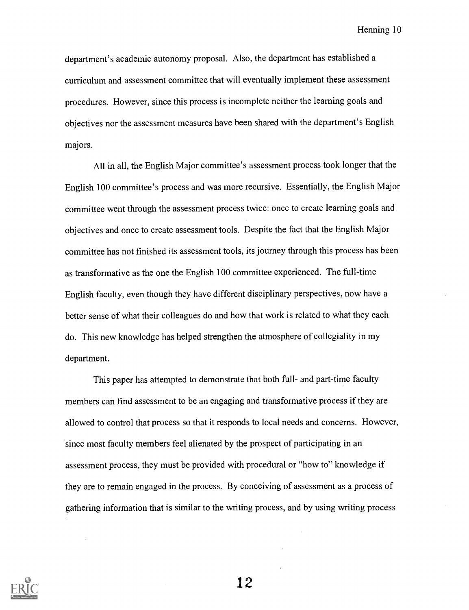department's academic autonomy proposal. Also, the department has established a curriculum and assessment committee that will eventually implement these assessment procedures. However, since this process is incomplete neither the learning goals and objectives nor the assessment measures have been shared with the department's English majors.

All in all, the English Major committee's assessment process took longer that the English 100 committee's process and was more recursive. Essentially, the English Major committee went through the assessment process twice: once to create learning goals and objectives and once to create assessment tools. Despite the fact that the English Major committee has not finished its assessment tools, its journey through this process has been as transformative as the one the English 100 committee experienced. The full-time English faculty, even though they have different disciplinary perspectives, now have a better sense of what their colleagues do and how that work is related to what they each do. This new knowledge has helped strengthen the atmosphere of collegiality in my department.

This paper has attempted to demonstrate that both full- and part-time faculty members can find assessment to be an engaging and transformative process if they are allowed to control that process so that it responds to local needs and concerns. However, since most faculty members feel alienated by the prospect of participating in an assessment process, they must be provided with procedural or "how to" knowledge if they are to remain engaged in the process. By conceiving of assessment as a process of gathering information that is similar to the writing process, and by using writing process

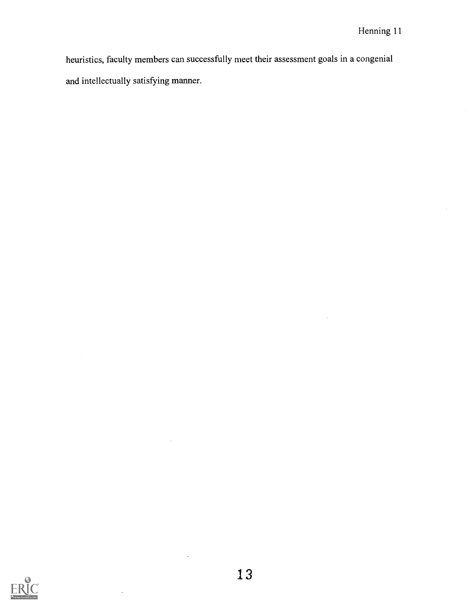heuristics, faculty members can successfully meet their assessment goals in a congenial and intellectually satisfying manner.

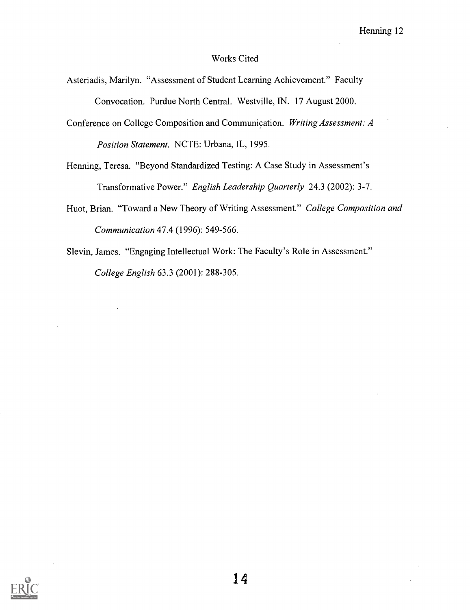## Works Cited

- Asteriadis, Marilyn. "Assessment of Student Learning Achievement." Faculty Convocation. Purdue North Central. Westville, IN. 17 August 2000.
- Conference on College Composition and Communication. Writing Assessment: A Position Statement. NCTE: Urbana, IL, 1995.
- Henning, Teresa. "Beyond Standardized Testing: A Case Study in Assessment's Transformative Power." English Leadership Quarterly 24.3 (2002): 3-7.
- Huot, Brian. "Toward a New Theory of Writing Assessment." College Composition and Communication 47.4 (1996): 549-566.
- Slevin, James. "Engaging Intellectual Work: The Faculty's Role in Assessment." College English 63.3 (2001): 288-305.

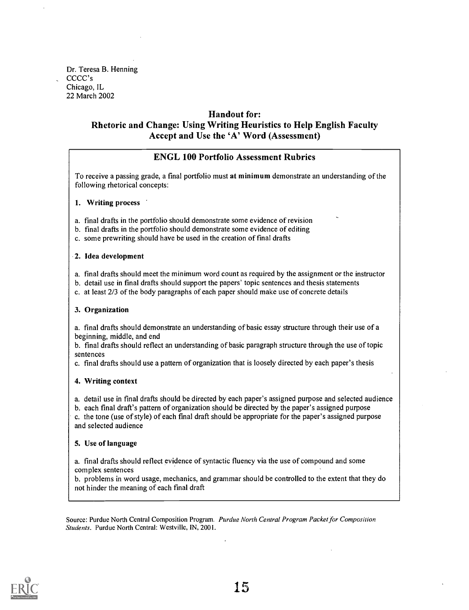Dr. Teresa B. Henning CCCC's Chicago, IL 22 March 2002

### Handout for:

## Rhetoric and Change: Using Writing Heuristics to Help English Faculty Accept and Use the 'A' Word (Assessment)

## ENGL 100 Portfolio Assessment Rubrics

To receive a passing grade, a final portfolio must at minimum demonstrate an understanding of the following rhetorical concepts:

#### 1. Writing process

- a. final drafts in the portfolio should demonstrate some evidence of revision
- b. final drafts in the portfolio should demonstrate some evidence of editing
- c. some prewriting should have be used in the creation of final drafts

#### 2. Idea development

- a. final drafts should meet the minimum word count as required by the assignment or the instructor
- b. detail use in final drafts should support the papers' topic sentences and thesis statements
- c. at least 2/3 of the body paragraphs of each paper should make use of concrete details

#### 3. Organization

a. final drafts should demonstrate an understanding of basic essay structure through their use of a beginning, middle, and end

b. final drafts should reflect an understanding of basic paragraph structure through the use of topic sentences

c. final drafts should use a pattern of organization that is loosely directed by each paper's thesis

#### 4. Writing context

a. detail use in final drafts should be directed by each paper's assigned purpose and selected audience

b. each final draft's pattern of organization should be directed by the paper's assigned purpose

c. the tone (use of style) of each final draft should be appropriate for the paper's assigned purpose and selected audience

#### 5. Use of language

a. final drafts should reflect evidence of syntactic fluency via the use of compound and some complex sentences

b. problems in word usage, mechanics, and grammar should be controlled to the extent that they do not hinder the meaning of each final draft

Source: Purdue North Central Composition Program. Purdue North Central Program Packet for Composition Students. Purdue North Central: Westville, IN, 2001.

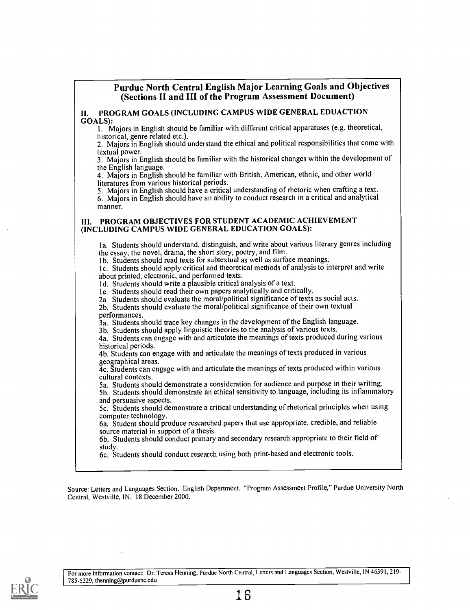## Purdue North Central English Major Learning Goals and Objectives (Sections II and III of the Program Assessment Document)

II. PROGRAM GOALS (INCLUDING CAMPUS WIDE GENERAL EDUACTION GOALS):

I. Majors in English should be familiar with different critical apparatuses (e.g. theoretical, historical, genre related etc.).

2. Majors in English should understand the ethical and political responsibilities that come with

3. Majors in English should be familiar with the historical changes within the development of the English language.

4. Majors in English should be familiar with British, American, ethnic, and other world literatures from various historical periods.

5. Majors in English should have a critical understanding of rhetoric when crafting a text.

6. Majors in English should have an ability to conduct research in a critical and analytical manner.

#### IH. PROGRAM OBJECTIVES FOR STUDENT ACADEMIC ACHIEVEMENT (INCLUDING CAMPUS WIDE GENERAL EDUCATION GOALS):

la, Students should understand, distinguish, and write about various literary genres including the essay, the novel, drama, the short story, poetry, and film.

lb. Students should read texts for subtextual as well as surface meanings.

lc. Students should apply critical and theoretical methods of analysis to interpret and write about printed, electronic, and performed texts.

Id. Students should write a plausible critical analysis of a text.

le. Students should read their own papers analytically and critically.

2a. Students should evaluate the moral/political significance of texts as social acts.

2b. Students should evaluate the moral/political significance of their own textual

3a. Students should trace key changes in the development of the English language.

3b. Students should apply linguistic theories to the analysis of various texts.

4a. Students can engage with and articulate the meanings of texts produced during various

historical periods.<br>4b. Students can engage with and articulate the meanings of texts produced in various geographical areas.

 $\overline{4}c$ . Students can engage with and articulate the meanings of texts produced within various cultural contexts.

5a. Students should demonstrate a consideration for audience and purpose in their writing.

5b. Students should.demonstrate an ethical sensitivity to language, including its inflammatory and persuasive aspects.

5c. Students should demonstrate a critical understanding of rhetorical principles when using

6a. Student should produce researched papers that use appropriate, credible, and reliable source material in support of a thesis.

6b. Students should conduct primary and secondary research appropriate to their field of

study. 6c. Students should conduct research using both print-based and electronic tools.

Source: Letters and Languages Section. English Department. "Program Assessment Profile," Purdue University North Central, Westville, IN. 18 December 2000.